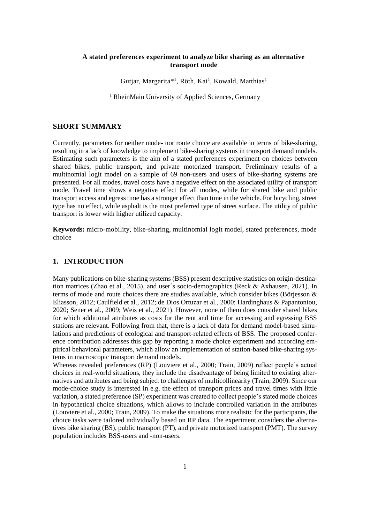### **A stated preferences experiment to analyze bike sharing as an alternative transport mode**

Gutjar, Margarita\*<sup>1</sup>, Röth, Kai<sup>1</sup>, Kowald, Matthias<sup>1</sup>

<sup>1</sup> RheinMain University of Applied Sciences, Germany

# **SHORT SUMMARY**

Currently, parameters for neither mode- nor route choice are available in terms of bike-sharing, resulting in a lack of knowledge to implement bike-sharing systems in transport demand models. Estimating such parameters is the aim of a stated preferences experiment on choices between shared bikes, public transport, and private motorized transport. Preliminary results of a multinomial logit model on a sample of 69 non-users and users of bike-sharing systems are presented. For all modes, travel costs have a negative effect on the associated utility of transport mode. Travel time shows a negative effect for all modes, while for shared bike and public transport access and egress time has a stronger effect than time in the vehicle. For bicycling, street type has no effect, while asphalt is the most preferred type of street surface. The utility of public transport is lower with higher utilized capacity.

**Keywords:** micro-mobility, bike-sharing, multinomial logit model, stated preferences, mode choice

# **1. INTRODUCTION**

Many publications on bike-sharing systems (BSS) present descriptive statistics on origin-destination matrices (Zhao et al., 2015), and user´s socio-demographics (Reck & Axhausen, 2021). In terms of mode and route choices there are studies available, which consider bikes (Börjesson  $\&$ Eliasson, 2012; Caulfield et al., 2012; de Dios Ortuzar et al., 2000; Hardinghaus & Papantoniou, 2020; Sener et al., 2009; Weis et al., 2021). However, none of them does consider shared bikes for which additional attributes as costs for the rent and time for accessing and egressing BSS stations are relevant. Following from that, there is a lack of data for demand model-based simulations and predictions of ecological and transport-related effects of BSS. The proposed conference contribution addresses this gap by reporting a mode choice experiment and according empirical behavioral parameters, which allow an implementation of station-based bike-sharing systems in macroscopic transport demand models.

Whereas revealed preferences (RP) (Louviere et al., 2000; Train, 2009) reflect people's actual choices in real-world situations, they include the disadvantage of being limited to existing alternatives and attributes and being subject to challenges of multicollinearity (Train, 2009). Since our mode-choice study is interested in e.g. the effect of transport prices and travel times with little variation, a stated preference (SP) experiment was created to collect people's stated mode choices in hypothetical choice situations, which allows to include controlled variation in the attributes (Louviere et al., 2000; Train, 2009). To make the situations more realistic for the participants, the choice tasks were tailored individually based on RP data. The experiment considers the alternatives bike sharing (BS), public transport (PT), and private motorized transport (PMT). The survey population includes BSS-users and -non-users.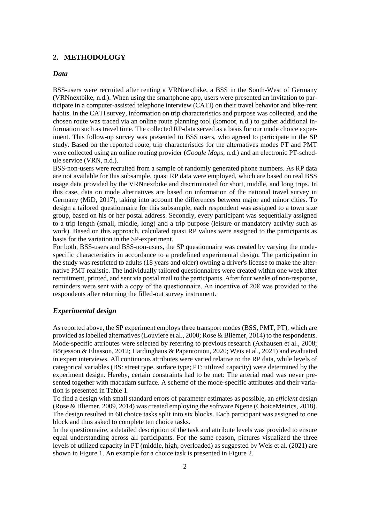#### **2. METHODOLOGY**

#### *Data*

BSS-users were recruited after renting a VRNnextbike, a BSS in the South-West of Germany (VRNnextbike, n.d.). When using the smartphone app, users were presented an invitation to participate in a computer-assisted telephone interview (CATI) on their travel behavior and bike-rent habits. In the CATI survey, information on trip characteristics and purpose was collected, and the chosen route was traced via an online route planning tool (komoot, n.d.) to gather additional information such as travel time. The collected RP-data served as a basis for our mode choice experiment. This follow-up survey was presented to BSS users, who agreed to participate in the SP study. Based on the reported route, trip characteristics for the alternatives modes PT and PMT were collected using an online routing provider (*Google Maps*, n.d.) and an electronic PT-schedule service (VRN, n.d.).

BSS-non-users were recruited from a sample of randomly generated phone numbers. As RP data are not available for this subsample, quasi RP data were employed, which are based on real BSS usage data provided by the VRNnextbike and discriminated for short, middle, and long trips. In this case, data on mode alternatives are based on information of the national travel survey in Germany (MiD, 2017), taking into account the differences between major and minor cities. To design a tailored questionnaire for this subsample, each respondent was assigned to a town size group, based on his or her postal address. Secondly, every participant was sequentially assigned to a trip length (small, middle, long) and a trip purpose (leisure or mandatory activity such as work). Based on this approach, calculated quasi RP values were assigned to the participants as basis for the variation in the SP-experiment.

For both, BSS-users and BSS-non-users, the SP questionnaire was created by varying the modespecific characteristics in accordance to a predefined experimental design. The participation in the study was restricted to adults (18 years and older) owning a driver's license to make the alternative PMT realistic. The individually tailored questionnaires were created within one week after recruitment, printed, and sent via postal mail to the participants. After four weeks of non-response, reminders were sent with a copy of the questionnaire. An incentive of  $20<sup>\epsilon</sup>$  was provided to the respondents after returning the filled-out survey instrument.

### *Experimental design*

As reported above, the SP experiment employs three transport modes (BSS, PMT, PT), which are provided as labelled alternatives (Louviere et al., 2000; Rose & Bliemer, 2014) to the respondents. Mode-specific attributes were selected by referring to previous research (Axhausen et al., 2008; Börjesson & Eliasson, 2012; Hardinghaus & Papantoniou, 2020; Weis et al., 2021) and evaluated in expert interviews. All continuous attributes were varied relative to the RP data, while levels of categorical variables (BS: street type, surface type; PT: utilized capacity) were determined by the experiment design. Hereby, certain constraints had to be met: The arterial road was never presented together with macadam surface. A scheme of the mode-specific attributes and their variation is presented in [Table 1.](#page-2-0)

To find a design with small standard errors of parameter estimates as possible, an *efficient* design (Rose & Bliemer, 2009, 2014) was created employing the software Ngene (ChoiceMetrics, 2018). The design resulted in 60 choice tasks split into six blocks. Each participant was assigned to one block and thus asked to complete ten choice tasks.

In the questionnaire, a detailed description of the task and attribute levels was provided to ensure equal understanding across all participants. For the same reason, pictures visualized the three levels of utilized capacity in PT (middle, high, overloaded) as suggested by Weis et al. (2021) are shown in [Figure 1.](#page-2-1) An example for a choice task is presented in [Figure 2.](#page-2-2)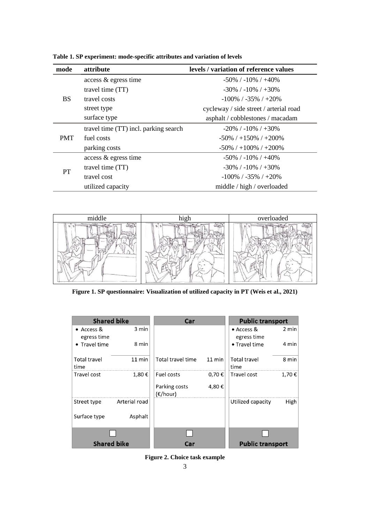| mode       | <i>attribute</i>                      | levels / variation of reference values |
|------------|---------------------------------------|----------------------------------------|
| <b>BS</b>  | access & egress time                  | $-50\%$ / $-10\%$ / $+40\%$            |
|            | travel time (TT)                      | $-30\%$ / $-10\%$ / $+30\%$            |
|            | travel costs                          | $-100\%$ / $-35\%$ / $+20\%$           |
|            | street type                           | cycleway / side street / arterial road |
|            | surface type                          | asphalt / cobblestones / macadam       |
| <b>PMT</b> | travel time (TT) incl. parking search | $-20\%$ / $-10\%$ / $+30\%$            |
|            | fuel costs                            | $-50\%$ / $+150\%$ / $+200\%$          |
|            | parking costs                         | $-50\%$ / $+100\%$ / $+200\%$          |
| PT         | access & egress time                  | $-50\%$ / $-10\%$ / $+40\%$            |
|            | travel time (TT)                      | $-30\%$ / $-10\%$ / $+30\%$            |
|            | travel cost                           | $-100\%$ / $-35\%$ / $+20\%$           |
|            | utilized capacity                     | middle / high / overloaded             |

<span id="page-2-0"></span>**Table 1. SP experiment: mode-specific attributes and variation of levels**



<span id="page-2-1"></span>**Figure 1. SP questionnaire: Visualization of utilized capacity in PT (Weis et al., 2021)**



<span id="page-2-2"></span>**Figure 2. Choice task example**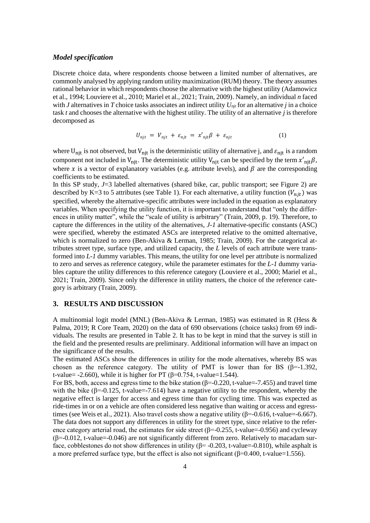### *Model specification*

Discrete choice data, where respondents choose between a limited number of alternatives, are commonly analysed by applying random utility maximization (RUM) theory. The theory assumes rational behavior in which respondents choose the alternative with the highest utility (Adamowicz et al., 1994; Louviere et al., 2010; Mariel et al., 2021; Train, 2009). Namely, an individual *n* faced with *J* alternatives in *T* choice tasks associates an indirect utility  $U_{njt}$  for an alternative *j* in a choice task *t* and chooses the alternative with the highest utility. The utility of an alternative *j* is therefore decomposed as

$$
U_{njt} = V_{njt} + \varepsilon_{njt} = x'_{njt}\beta + \varepsilon_{njt} \tag{1}
$$

where  $U_{njt}$  is not observed, but  $V_{njt}$  is the deterministic utility of alternative j, and  $\varepsilon_{njt}$  is a random component not included in  $V_{njt}$ . The deterministic utility  $V_{njt}$  can be specified by the term  $x'_{njt}\beta$ , where x is a vector of explanatory variables (e.g. attribute levels), and  $\beta$  are the corresponding coefficients to be estimated.

In this SP study,  $J=3$  labelled alternatives (shared bike, car, public transport; see [Figure 2\)](#page-2-2) are described by K=3 to 5 attributes (see [Table 1\)](#page-2-0). For each alternative, a utility function  $(V_{nit})$  was specified, whereby the alternative-specific attributes were included in the equation as explanatory variables. When specifying the utility function, it is important to understand that "only the differences in utility matter", while the "scale of utility is arbitrary" (Train, 2009, p. 19). Therefore, to capture the differences in the utility of the alternatives, *J-1* alternative-specific constants (ASC) were specified, whereby the estimated ASCs are interpreted relative to the omitted alternative, which is normalized to zero (Ben-Akiva & Lerman, 1985; Train, 2009). For the categorical attributes street type, surface type, and utilized capacity, the *L* levels of each attribute were transformed into *L-1* dummy variables. This means, the utility for one level per attribute is normalized to zero and serves as reference category, while the parameter estimates for the *L-1* dummy variables capture the utility differences to this reference category (Louviere et al., 2000; Mariel et al., 2021; Train, 2009). Since only the difference in utility matters, the choice of the reference category is arbitrary (Train, 2009).

# **3. RESULTS AND DISCUSSION**

A multinomial logit model (MNL) (Ben-Akiva & Lerman, 1985) was estimated in R (Hess & Palma, 2019; R Core Team, 2020) on the data of 690 observations (choice tasks) from 69 individuals. The results are presented in [Table 2.](#page-4-0) It has to be kept in mind that the survey is still in the field and the presented results are preliminary. Additional information will have an impact on the significance of the results.

The estimated ASCs show the differences in utility for the mode alternatives, whereby BS was chosen as the reference category. The utility of PMT is lower than for BS ( $\beta$ =-1.392, t-value=  $-2.660$ ), while it is higher for PT ( $\beta$ =0.754, t-value=1.544).

For BS, both, access and egress time to the bike station ( $\beta$ =-0.220, t-value=-7.455) and travel time with the bike ( $\beta$ =-0.125, t-value=-7.614) have a negative utility to the respondent, whereby the negative effect is larger for access and egress time than for cycling time. This was expected as ride-times in or on a vehicle are often considered less negative than waiting or access and egresstimes (see Weis et al., 2021). Also travel costs show a negative utility  $(\beta = -0.616, t$ -value=-6.667). The data does not support any differences in utility for the street type, since relative to the reference category arterial road, the estimates for side street ( $\beta$ =-0.255, t-value=-0.956) and cycleway  $(\beta = -0.012, t-value = -0.046)$  are not significantly different from zero. Relatively to macadam surface, cobblestones do not show differences in utility  $(\beta = -0.203, t-value = -0.810)$ , while asphalt is a more preferred surface type, but the effect is also not significant  $(\beta=0.400, t-value=1.556)$ .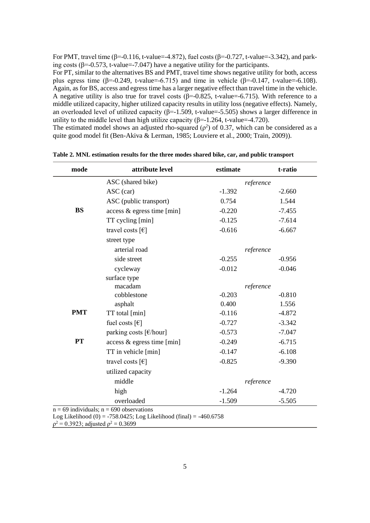For PMT, travel time ( $\beta$ =-0.116, t-value=-4.872), fuel costs ( $\beta$ =-0.727, t-value=-3.342), and parking costs ( $\beta$ =-0.573, t-value=-7.047) have a negative utility for the participants.

For PT, similar to the alternatives BS and PMT, travel time shows negative utility for both, access plus egress time ( $\beta$ =-0.249, t-value=-6.715) and time in vehicle ( $\beta$ =-0.147, t-value=-6.108). Again, as for BS, access and egress time has a larger negative effect than travel time in the vehicle. A negative utility is also true for travel costs ( $\beta$ =-0.825, t-value=-6.715). With reference to a middle utilized capacity, higher utilized capacity results in utility loss (negative effects). Namely, an overloaded level of utilized capacity ( $β=1.509$ , t-value=-5.505) shows a larger difference in utility to the middle level than high utilize capacity ( $\beta$ =-1.264, t-value=-4.720).

The estimated model shows an adjusted rho-squared ( $\rho^2$ ) of 0.37, which can be considered as a quite good model fit (Ben-Akiva & Lerman, 1985; Louviere et al., 2000; Train, 2009)).

| mode                                                               | attribute level                              | estimate  | t-ratio  |  |  |
|--------------------------------------------------------------------|----------------------------------------------|-----------|----------|--|--|
|                                                                    | ASC (shared bike)                            | reference |          |  |  |
|                                                                    | ASC (car)                                    | $-1.392$  | $-2.660$ |  |  |
|                                                                    | ASC (public transport)                       | 0.754     | 1.544    |  |  |
| <b>BS</b>                                                          | access & egress time [min]                   | $-0.220$  | $-7.455$ |  |  |
|                                                                    | TT cycling [min]                             | $-0.125$  | $-7.614$ |  |  |
|                                                                    | travel costs $\lceil \epsilon \rceil$        | $-0.616$  | $-6.667$ |  |  |
|                                                                    | street type                                  |           |          |  |  |
|                                                                    | arterial road                                | reference |          |  |  |
|                                                                    | side street                                  | $-0.255$  | $-0.956$ |  |  |
|                                                                    | cycleway                                     | $-0.012$  | $-0.046$ |  |  |
|                                                                    | surface type                                 |           |          |  |  |
|                                                                    | macadam                                      | reference |          |  |  |
|                                                                    | cobblestone                                  | $-0.203$  | $-0.810$ |  |  |
|                                                                    | asphalt                                      | 0.400     | 1.556    |  |  |
| <b>PMT</b>                                                         | TT total [min]                               | $-0.116$  | $-4.872$ |  |  |
|                                                                    | fuel costs $[\mathcal{E}]$                   | $-0.727$  | $-3.342$ |  |  |
|                                                                    | parking costs [€/hour]                       | $-0.573$  | $-7.047$ |  |  |
| <b>PT</b>                                                          | access & egress time [min]                   | $-0.249$  | $-6.715$ |  |  |
|                                                                    | TT in vehicle [min]                          | $-0.147$  | $-6.108$ |  |  |
|                                                                    | travel costs $\lceil \epsilon \rceil$        | $-0.825$  | $-9.390$ |  |  |
|                                                                    | utilized capacity                            |           |          |  |  |
|                                                                    | middle                                       | reference |          |  |  |
|                                                                    | high                                         | $-1.264$  | $-4.720$ |  |  |
|                                                                    | overloaded                                   | $-1.509$  | $-5.505$ |  |  |
|                                                                    | $n = 69$ individuals; $n = 690$ observations |           |          |  |  |
| Log Likelihood (0) = -758.0425; Log Likelihood (final) = -460.6758 |                                              |           |          |  |  |

<span id="page-4-0"></span>**Table 2. MNL estimation results for the three modes shared bike, car, and public transport**

 $\rho^2 = 0.3923$ ; adjusted  $\rho^2 = 0.3699$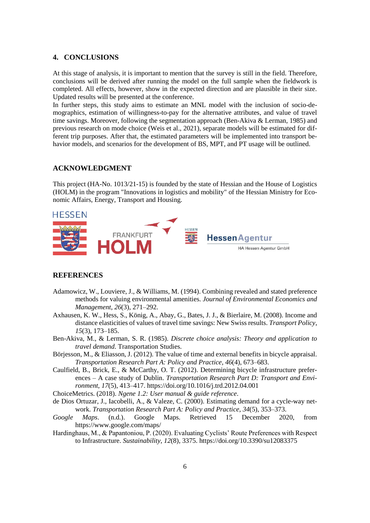#### **4. CONCLUSIONS**

At this stage of analysis, it is important to mention that the survey is still in the field. Therefore, conclusions will be derived after running the model on the full sample when the fieldwork is completed. All effects, however, show in the expected direction and are plausible in their size. Updated results will be presented at the conference.

In further steps, this study aims to estimate an MNL model with the inclusion of socio-demographics, estimation of willingness-to-pay for the alternative attributes, and value of travel time savings. Moreover, following the segmentation approach (Ben-Akiva & Lerman, 1985) and previous research on mode choice (Weis et al., 2021), separate models will be estimated for different trip purposes. After that, the estimated parameters will be implemented into transport behavior models, and scenarios for the development of BS, MPT, and PT usage will be outlined.

# **ACKNOWLEDGMENT**

This project (HA-No. 1013/21-15) is founded by the state of Hessian and the House of Logistics (HOLM) in the program "Innovations in logistics and mobility" of the Hessian Ministry for Economic Affairs, Energy, Transport and Housing.



#### **REFERENCES**

- Adamowicz, W., Louviere, J., & Williams, M. (1994). Combining revealed and stated preference methods for valuing environmental amenities. *Journal of Environmental Economics and Management*, *26*(3), 271–292.
- Axhausen, K. W., Hess, S., König, A., Abay, G., Bates, J. J., & Bierlaire, M. (2008). Income and distance elasticities of values of travel time savings: New Swiss results. *Transport Policy*, *15*(3), 173–185.
- Ben-Akiva, M., & Lerman, S. R. (1985). *Discrete choice analysis: Theory and application to travel demand*. Transportation Studies.
- Börjesson, M., & Eliasson, J. (2012). The value of time and external benefits in bicycle appraisal. *Transportation Research Part A: Policy and Practice*, *46*(4), 673–683.
- Caulfield, B., Brick, E., & McCarthy, O. T. (2012). Determining bicycle infrastructure preferences – A case study of Dublin. *Transportation Research Part D: Transport and Environment*, *17*(5), 413–417. https://doi.org/10.1016/j.trd.2012.04.001

ChoiceMetrics. (2018). *Ngene 1.2: User manual & guide reference*.

- de Dios Ortuzar, J., Iacobelli, A., & Valeze, C. (2000). Estimating demand for a cycle-way network. *Transportation Research Part A: Policy and Practice*, *34*(5), 353–373.
- *Google Maps*. (n.d.). Google Maps. Retrieved 15 December 2020, from https://www.google.com/maps/
- Hardinghaus, M., & Papantoniou, P. (2020). Evaluating Cyclists' Route Preferences with Respect to Infrastructure. *Sustainability*, *12*(8), 3375. https://doi.org/10.3390/su12083375